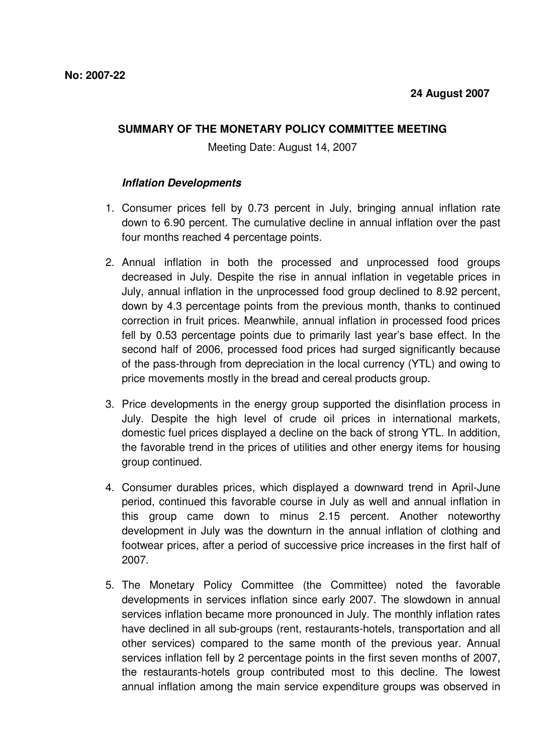## **SUMMARY OF THE MONETARY POLICY COMMITTEE MEETING**

Meeting Date: August 14, 2007

## **Inflation Developments**

- 1. Consumer prices fell by 0.73 percent in July, bringing annual inflation rate down to 6.90 percent. The cumulative decline in annual inflation over the past four months reached 4 percentage points.
- 2. Annual inflation in both the processed and unprocessed food groups decreased in July. Despite the rise in annual inflation in vegetable prices in July, annual inflation in the unprocessed food group declined to 8.92 percent, down by 4.3 percentage points from the previous month, thanks to continued correction in fruit prices. Meanwhile, annual inflation in processed food prices fell by 0.53 percentage points due to primarily last year's base effect. In the second half of 2006, processed food prices had surged significantly because of the pass-through from depreciation in the local currency (YTL) and owing to price movements mostly in the bread and cereal products group.
- 3. Price developments in the energy group supported the disinflation process in July. Despite the high level of crude oil prices in international markets, domestic fuel prices displayed a decline on the back of strong YTL. In addition, the favorable trend in the prices of utilities and other energy items for housing group continued.
- 4. Consumer durables prices, which displayed a downward trend in April-June period, continued this favorable course in July as well and annual inflation in this group came down to minus 2.15 percent. Another noteworthy development in July was the downturn in the annual inflation of clothing and footwear prices, after a period of successive price increases in the first half of 2007.
- 5. The Monetary Policy Committee (the Committee) noted the favorable developments in services inflation since early 2007. The slowdown in annual services inflation became more pronounced in July. The monthly inflation rates have declined in all sub-groups (rent, restaurants-hotels, transportation and all other services) compared to the same month of the previous year. Annual services inflation fell by 2 percentage points in the first seven months of 2007, the restaurants-hotels group contributed most to this decline. The lowest annual inflation among the main service expenditure groups was observed in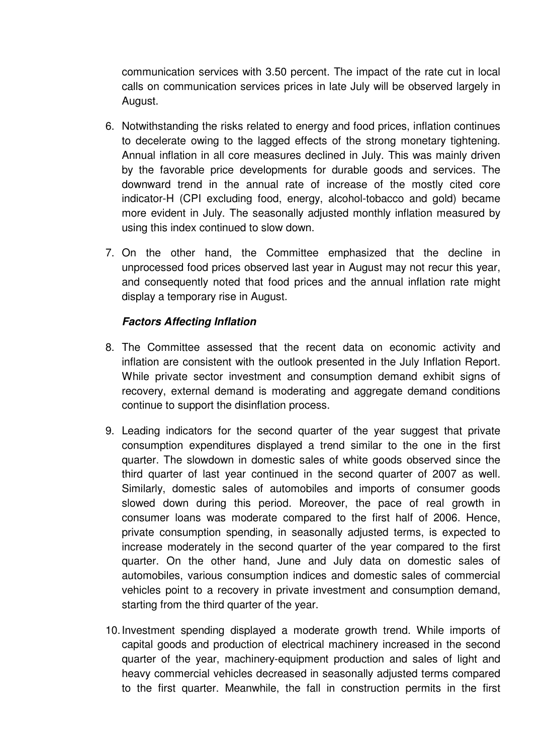communication services with 3.50 percent. The impact of the rate cut in local calls on communication services prices in late July will be observed largely in August.

- 6. Notwithstanding the risks related to energy and food prices, inflation continues to decelerate owing to the lagged effects of the strong monetary tightening. Annual inflation in all core measures declined in July. This was mainly driven by the favorable price developments for durable goods and services. The downward trend in the annual rate of increase of the mostly cited core indicator-H (CPI excluding food, energy, alcohol-tobacco and gold) became more evident in July. The seasonally adjusted monthly inflation measured by using this index continued to slow down.
- 7. On the other hand, the Committee emphasized that the decline in unprocessed food prices observed last year in August may not recur this year, and consequently noted that food prices and the annual inflation rate might display a temporary rise in August.

## **Factors Affecting Inflation**

- 8. The Committee assessed that the recent data on economic activity and inflation are consistent with the outlook presented in the July Inflation Report. While private sector investment and consumption demand exhibit signs of recovery, external demand is moderating and aggregate demand conditions continue to support the disinflation process.
- 9. Leading indicators for the second quarter of the year suggest that private consumption expenditures displayed a trend similar to the one in the first quarter. The slowdown in domestic sales of white goods observed since the third quarter of last year continued in the second quarter of 2007 as well. Similarly, domestic sales of automobiles and imports of consumer goods slowed down during this period. Moreover, the pace of real growth in consumer loans was moderate compared to the first half of 2006. Hence, private consumption spending, in seasonally adjusted terms, is expected to increase moderately in the second quarter of the year compared to the first quarter. On the other hand, June and July data on domestic sales of automobiles, various consumption indices and domestic sales of commercial vehicles point to a recovery in private investment and consumption demand, starting from the third quarter of the year.
- 10. Investment spending displayed a moderate growth trend. While imports of capital goods and production of electrical machinery increased in the second quarter of the year, machinery-equipment production and sales of light and heavy commercial vehicles decreased in seasonally adjusted terms compared to the first quarter. Meanwhile, the fall in construction permits in the first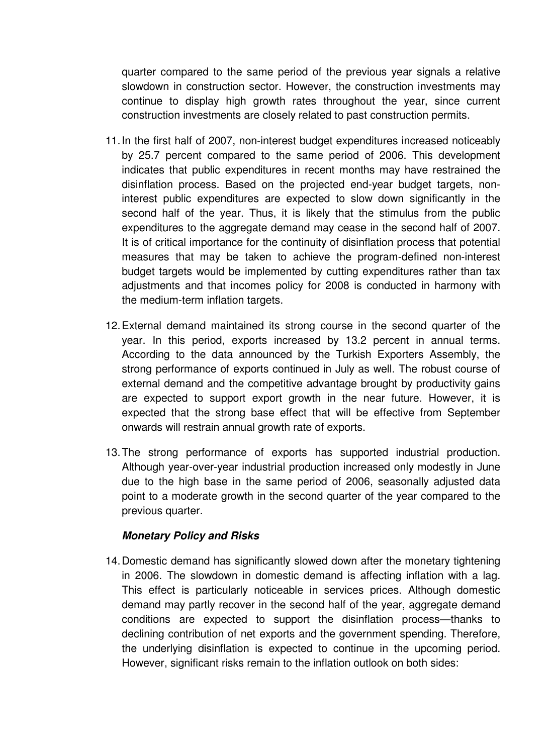quarter compared to the same period of the previous year signals a relative slowdown in construction sector. However, the construction investments may continue to display high growth rates throughout the year, since current construction investments are closely related to past construction permits.

- 11. In the first half of 2007, non-interest budget expenditures increased noticeably by 25.7 percent compared to the same period of 2006. This development indicates that public expenditures in recent months may have restrained the disinflation process. Based on the projected end-year budget targets, noninterest public expenditures are expected to slow down significantly in the second half of the year. Thus, it is likely that the stimulus from the public expenditures to the aggregate demand may cease in the second half of 2007. It is of critical importance for the continuity of disinflation process that potential measures that may be taken to achieve the program-defined non-interest budget targets would be implemented by cutting expenditures rather than tax adjustments and that incomes policy for 2008 is conducted in harmony with the medium-term inflation targets.
- 12. External demand maintained its strong course in the second quarter of the year. In this period, exports increased by 13.2 percent in annual terms. According to the data announced by the Turkish Exporters Assembly, the strong performance of exports continued in July as well. The robust course of external demand and the competitive advantage brought by productivity gains are expected to support export growth in the near future. However, it is expected that the strong base effect that will be effective from September onwards will restrain annual growth rate of exports.
- 13. The strong performance of exports has supported industrial production. Although year-over-year industrial production increased only modestly in June due to the high base in the same period of 2006, seasonally adjusted data point to a moderate growth in the second quarter of the year compared to the previous quarter.

## **Monetary Policy and Risks**

14. Domestic demand has significantly slowed down after the monetary tightening in 2006. The slowdown in domestic demand is affecting inflation with a lag. This effect is particularly noticeable in services prices. Although domestic demand may partly recover in the second half of the year, aggregate demand conditions are expected to support the disinflation process—thanks to declining contribution of net exports and the government spending. Therefore, the underlying disinflation is expected to continue in the upcoming period. However, significant risks remain to the inflation outlook on both sides: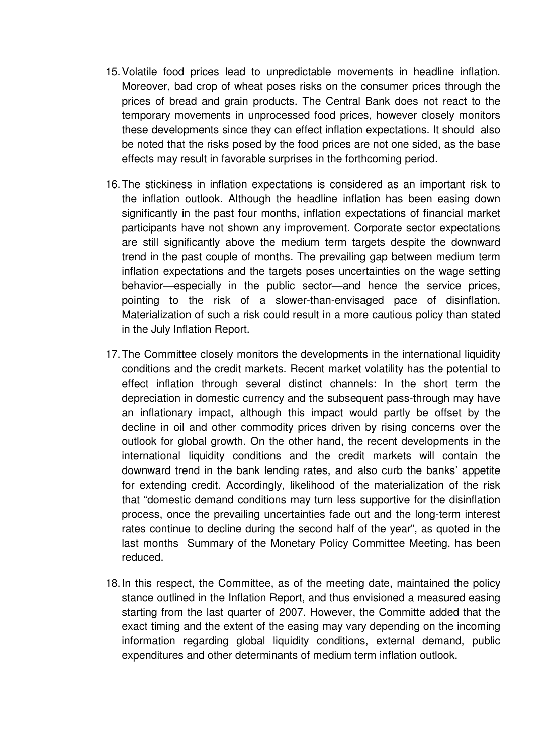- 15. Volatile food prices lead to unpredictable movements in headline inflation. Moreover, bad crop of wheat poses risks on the consumer prices through the prices of bread and grain products. The Central Bank does not react to the temporary movements in unprocessed food prices, however closely monitors these developments since they can effect inflation expectations. It should also be noted that the risks posed by the food prices are not one sided, as the base effects may result in favorable surprises in the forthcoming period.
- 16. The stickiness in inflation expectations is considered as an important risk to the inflation outlook. Although the headline inflation has been easing down significantly in the past four months, inflation expectations of financial market participants have not shown any improvement. Corporate sector expectations are still significantly above the medium term targets despite the downward trend in the past couple of months. The prevailing gap between medium term inflation expectations and the targets poses uncertainties on the wage setting behavior—especially in the public sector—and hence the service prices, pointing to the risk of a slower-than-envisaged pace of disinflation. Materialization of such a risk could result in a more cautious policy than stated in the July Inflation Report.
- 17. The Committee closely monitors the developments in the international liquidity conditions and the credit markets. Recent market volatility has the potential to effect inflation through several distinct channels: In the short term the depreciation in domestic currency and the subsequent pass-through may have an inflationary impact, although this impact would partly be offset by the decline in oil and other commodity prices driven by rising concerns over the outlook for global growth. On the other hand, the recent developments in the international liquidity conditions and the credit markets will contain the downward trend in the bank lending rates, and also curb the banks' appetite for extending credit. Accordingly, likelihood of the materialization of the risk that "domestic demand conditions may turn less supportive for the disinflation process, once the prevailing uncertainties fade out and the long-term interest rates continue to decline during the second half of the year", as quoted in the last months Summary of the Monetary Policy Committee Meeting, has been reduced.
- 18. In this respect, the Committee, as of the meeting date, maintained the policy stance outlined in the Inflation Report, and thus envisioned a measured easing starting from the last quarter of 2007. However, the Committe added that the exact timing and the extent of the easing may vary depending on the incoming information regarding global liquidity conditions, external demand, public expenditures and other determinants of medium term inflation outlook.